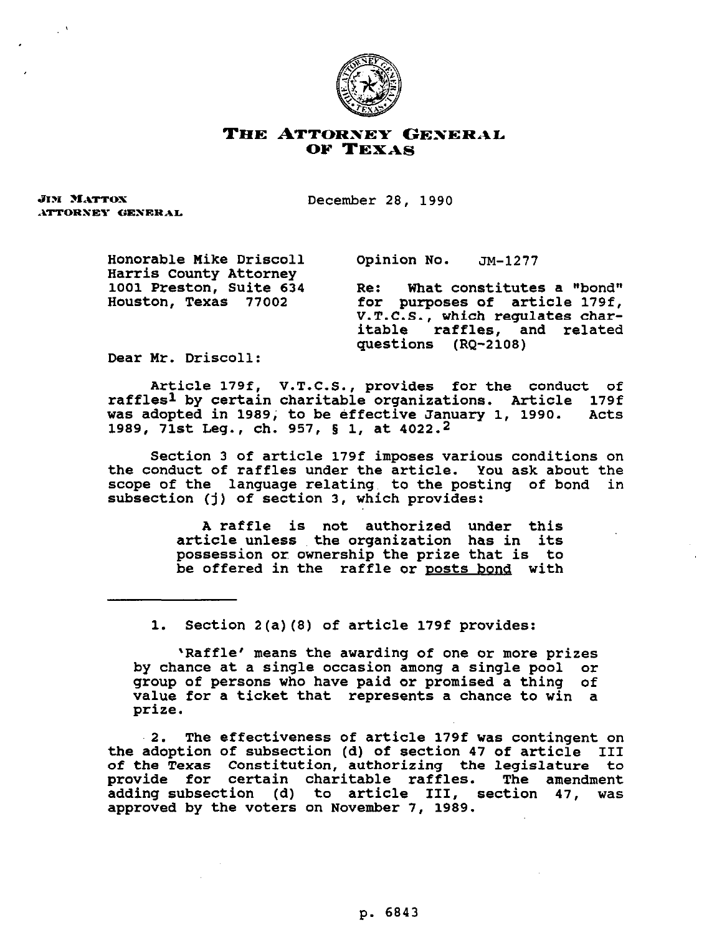

## **THE ATTORNEY GESERAI. OF TEXAS**

**JIM MATTOX** ATTORNEY GENERAL December 28, 1990

**Honorable Mike Driscoll Harris County Attorney 1001 Preston, Suite 634 Houston, Texas 77002** 

Opinion No. JM-1277

 $Re:$  What constitutes a "bond" **for purposes of article 179f, V.T.C.S., which regulates charitable raffles, and related questions (RQ-2108)** 

**Dear Mr. Driscoll:** 

**Article 179f, V.T.C.S., provides for the conduct of raffles1 by certain charitable organizations. Article 179f**  was adopted in 1989, to be effective January 1, 1990. **1989, 71st Leg., ch. 957, 5 1, at 4022.2** 

**Section 3 of article 179f imposes various conditions on the conduct of raffles under the article. You ask about the scope of the language relating to the posting of bond in subsection (j) of section 3, which provides:** 

> **A raffle is not authorized under this article unless the organization has in its possession or ownership the prize that is to**  be offered in the raffle or posts bond with

**1. Section 2(a)(8) of article 179f provides:** 

**'Raffle' means the awarding of one or more prizes by chance at a single occasion among a single pool or group of persons who have paid or promised a thing of value for a ticket that represents a chance to win a prize.** 

**2. The effectiveness of article 179f was contingent on the adoption of subsection (d) of section 47 of article 111 of the Texas Constitution, authorizing the legislature to provide for certain charitable raffles. The amendment adding subsection (d) to article III, section 47, was approved by the voters on November 7, 1989.**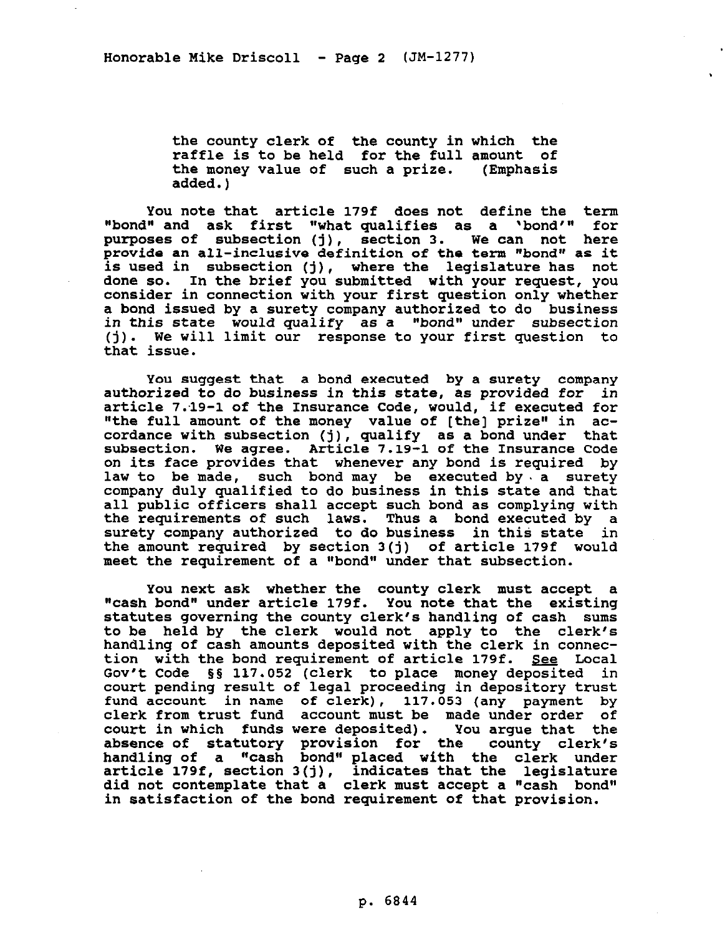**the county clerk of the county in which the**  raffle is to be held for the full amount of the money value of such a prize. (Emphasis the money value of such a prize. **added.)** 

**You note that article 179f does not define the term O1bondVO and ask first "what qualifies as a \*bond"' for purposes of subsection (j), section 3. We can not here provide an all-inclusive definition of the term "bond" as it is used in subsection (j), where the legislature has not done so. In the brief you submitted with your request, you consider in connection with your first question only whether a bond issued by a surety company authorized to do business**  in this state would qualify as a "bond" under subsection **(j). We will limit our response to your first question to that issue.** 

**You suggest that a bond executed by a surety company authorized to do business in this state, as provided for in article 7:19-l of the Insurance Code, would, if executed for "the full amount of the money value of [the] prize" in accordance with subsection (j), qualify as a bond under that subsection. We agree. Article 7.19-1 of the Insurance Code on its face provides that whenever any bond is required by law to be made, such bond may be executed by. a surety company duly qualified to do business in this state and that all public officers shall accept such bond as complying with the requirements of such laws. Thus a bond executed by a surety company authorized to do business in this state in the amount required by section 3(j) of article 179f would meet the requirement of a "bond" under that subsection.** 

**You next ask whether the county clerk must accept a "cash bond" under article 179f. You note that the existing statutes governing the county clerk's handling of cash sums to be held by the clerk would not apply to the clerk's handling of cash amounts deposited with the clerk in connec**tion with the bond requirement of article 179f. See Local **Gov't Code §§ 117.052 (clerk to place money deposited in court pending result of legal proceeding in depository trust fund account in name of clerk), 117.053 (any payment by clerk from trust fund account must be made under order of court in which funds were deposited). You argue that the absence of statutory provision for the county clerk's handling of a "cash bond" placed with the clerk under article 179f, section 3(j), indicates that the legislature did not contemplate that a clerk must accept a "cash bond" in satisfaction of the bond requirement of that provision.**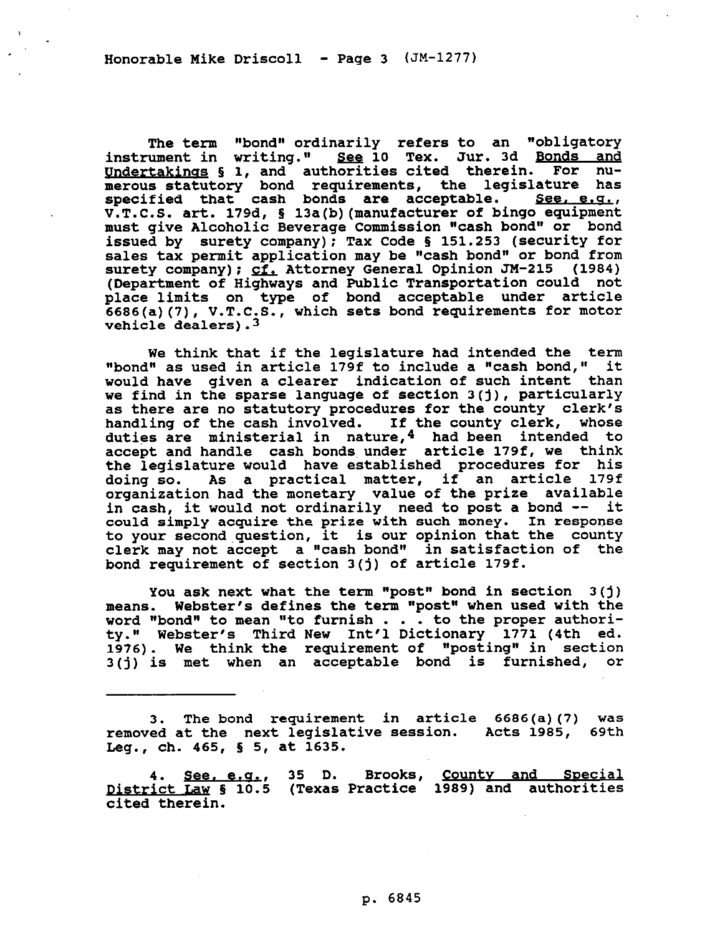, **Honorable Mike Driscoll - Page 3 (JM-1277)** 

The term "bond" ordinarily refers to an "obligatory **instrument in writing." m 10 Tex.** Jur. 3d **yndertakinas § 1, and authorities cited therein.**  <u>Bo</u> **merous statutory bond requirements, the legislature has specified that cash bonds are acceptable. See. e.a V.T.C.S. art. 179d, 5 13a(b)(manufacturer of bingo equipmen; must give Alcoholic Beverage Commission 'cash bond" or bond issued by surety company): Tax Code 5 151.253 (security for sales tax permit application may be %ash bond" or bond from**  surety company); cf. Attorney General Opinion JM-215 (1984) **(Department of Highways and Public Transportation could not place limits on type of bond acceptable under article 6686(a)(7), V.T.C.S., vehicle dealers).3**  which sets bond requirements for moto

**We think that if the legislature had intended the term \*'bond" as used in article 179f to include a "cash bond," it would have given a clearer indication of such intent than we find in the sparse language of section 3(j), particularly as there are no statutory procedures for the county clerk's**  handling of the cash involved. If the county clerk, whose **duties are ministerial in nature,4 had been intended to accept and handle cash bonds.under article 179f, we think the legislature would have established procedures for his doing so. As a practical matter, if an article 179f organization had the monetary value of the prize available in cash, it would not ordinarily need to post a bond -- it could simply acquire the prize with such money. In response to your second,guestion, it is our opinion that the county clerk may not accept a "cash bond" in satisfaction of the bond requirement of section 3(j) of article 179f.** 

You ask next what the term "post" bond in section 3(j) means. Webster's defines the term "post" when used with the **word "bond" to mean "to furnish . . . to the proper authori**ty." Webster's Third New Int'l Dictionary 1771 (4th ed. **1976). We think the requirement of "posting" in section in the section of the section of the section of the section of the section of the section of the section of the section of the section of the section of the section 3(j) is met when an acceptable bond is furnished, or** 

**3. The bond requirement in article 6686(a)(7) was \_ . \_ removed at tne next leglslacive session. Acts 1985, 69th Leg., ch. 465, 5 5, at 1635.** 

**4. See. e.a, District Law 9 10.5** (Texas Practice 1989) and authorities **district** See, e.g., 35 D. Brooks, County and Special **cited therein.**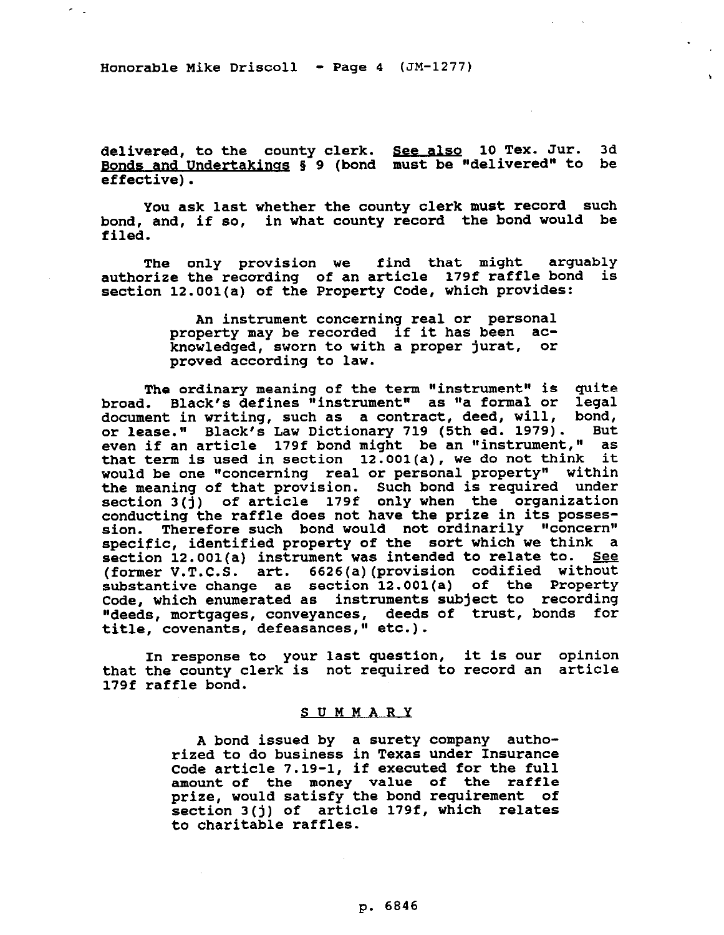**Honorable Mike Driscoll - Page 4 (JM-1277)** 

' .

**delivered, to the county clerk. See also 10 Tex. Jur. 3d**  Bonds and Undertakings § 9 (bond must be "delivered" to be **effective).** 

 $\mathbf{A}$  .

**You ask last whether the county clerk must record such bond, and, if so, in what county record the bond would be filed.** 

**The only provision we find that might arguably authorize the recording of an article 179f raffle bond is section 12.001(a) of the Property Code, which provides:** 

> **An instrument concerning real or personal property may be recorded if it has been acknowledged, sworn to with a proper jurat, or proved according to law.**

The ordinary meaning of the term "instrument" is quite broad. Black's defines "instrument" as "a formal or legal document in writing, such as a contract, deed, will, bond, **document in writing, such as a contract, deed, will, bond, or lease." Black's Law Dictionary 719 (5th ed. 1979). But**  even if an article 179f bond might be an "instrument," as **that term is used in section 12.001(a), we do** not **think it would be one 'concerning real or personal property" within the meaning of that provision. Such bond is required under section 3(j) of article 179f only when the organization conducting the raffle does not have the prize in its posses**sion. Therefore such bond would not ordinarily "concern" **specific, identified property of the sort which we think a section 12.001(a) instrument was intended to relate to. See (former V.T.C.S. art. 6626(a)(provision codified without substantive change as section 12.001(a) of the Property Code, which enumerated as instruments subject to recording "deeds, mortgages,** conveyances, **deeds of trust, bonds for title, covenants, defeasances," etc.).** 

**In response to your last question, it is our opinion that the county clerk is not required to record an article 179f raffle bond.** 

## **SUMMARY**

**A bond issued by a surety company authorized to do business in Texas under Insurance Code article 7.19-1, if executed for the full**  prize, would satisfy the bond requirement of **prize, would satisfy the bond requirement of section 3(j) of article 179f, which relates to charitable raffles.**